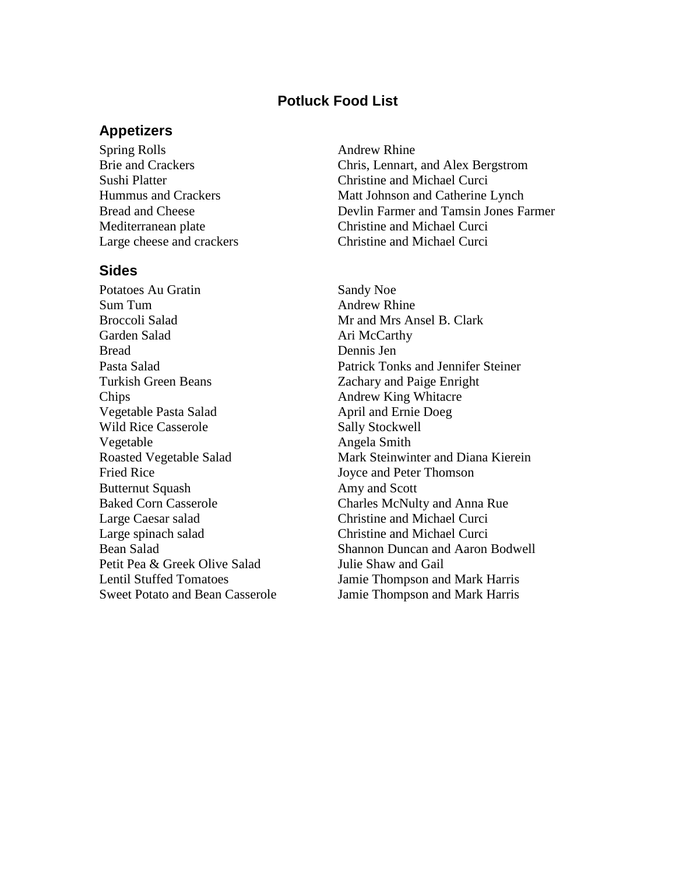## **Potluck Food List**

#### **Appetizers**

Spring Rolls Andrew Rhine

## **Sides**

Potatoes Au Gratin Sandy Noe Sum Tum **Andrew Rhine** Broccoli Salad Mrs Ansel B. Clark Garden Salad Ari McCarthy Bread Dennis Jen Turkish Green Beans Zachary and Paige Enright Chips **Andrew King Whitacre** Vegetable Pasta Salad April and Ernie Doeg Wild Rice Casserole Sally Stockwell Vegetable Angela Smith Fried Rice Joyce and Peter Thomson Butternut Squash Amy and Scott Large Caesar salad Christine and Michael Curci Large spinach salad Christine and Michael Curci Petit Pea & Greek Olive Salad Julie Shaw and Gail

Brie and Crackers Chris, Lennart, and Alex Bergstrom Sushi Platter Christine and Michael Curci Hummus and Crackers Matt Johnson and Catherine Lynch Bread and Cheese Devlin Farmer and Tamsin Jones Farmer Mediterranean plate Christine and Michael Curci Large cheese and crackers Christine and Michael Curci

Pasta Salad Patrick Tonks and Jennifer Steiner Roasted Vegetable Salad Mark Steinwinter and Diana Kierein Baked Corn Casserole Charles McNulty and Anna Rue Bean Salad Shannon Duncan and Aaron Bodwell Lentil Stuffed Tomatoes Jamie Thompson and Mark Harris Sweet Potato and Bean Casserole Jamie Thompson and Mark Harris